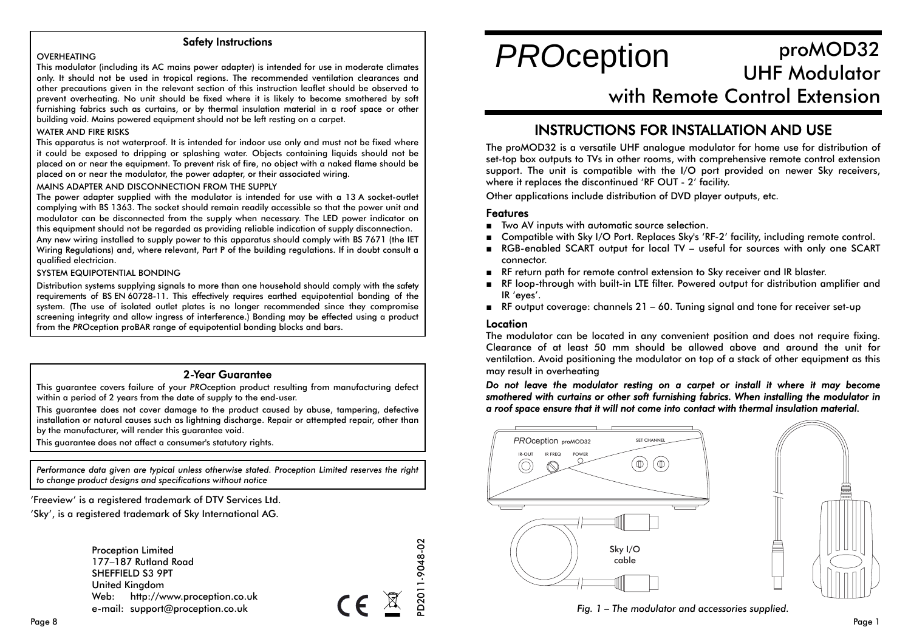### Safety Instructions

#### **OVERHEATING**

This modulator (including its AC mains power adapter) is intended for use in moderate climates only. It should not be used in tropical regions. The recommended ventilation clearances and other precautions given in the relevant section of this instruction leaflet should be observed to prevent overheating. No unit should be fixed where it is likely to become smothered by soft furnishing fabrics such as curtains, or by thermal insulation material in a roof space or other building void. Mains powered equipment should not be left resting on a carpet.

#### WATER AND FIRE RISKS

This apparatus is not waterproof. It is intended for indoor use only and must not be fixed where it could be exposed to dripping or splashing water. Objects containing liquids should not be placed on or near the equipment. To prevent risk of fire, no object with a naked flame should be placed on or near the modulator, the power adapter, or their associated wiring.

MAINS ADAPTER AND DISCONNECTION FROM THE SUPPLY

The power adapter supplied with the modulator is intended for use with a 13 A socket-outlet complying with BS 1363. The socket should remain readily accessible so that the power unit and modulator can be disconnected from the supply when necessary. The LED power indicator on this equipment should not be regarded as providing reliable indication of supply disconnection. Any new wiring installed to supply power to this apparatus should comply with BS 7671 (the IET Wiring Regulations) and, where relevant, Part P of the building regulations. If in doubt consult a qualified electrician.

#### SYSTEM EQUIPOTENTIAL BONDING

Distribution systems supplying signals to more than one household should comply with the safety requirements of BS EN 60728-11. This effectively requires earthed equipotential bonding of the system. (The use of isolated outlet plates is no longer recommended since they compromise screening integrity and allow ingress of interference.) Bonding may be effected using a product from the *PRO*ception proBAR range of equipotential bonding blocks and bars.

#### 2-Year Guarantee

This guarantee covers failure of your *PRO*ception product resulting from manufacturing defect within a period of 2 years from the date of supply to the end-user.

This guarantee does not cover damage to the product caused by abuse, tampering, defective installation or natural causes such as lightning discharge. Repair or attempted repair, other than by the manufacturer, will render this guarantee void.

This guarantee does not affect a consumer's statutory rights.

*Performance data given are typical unless otherwise stated. Proception Limited reserves the right to change product designs and specifications without notice*

'Freeview' is a registered trademark of DTV Services Ltd.

'Sky', is a registered trademark of Sky International AG.

| <b>Proception Limited</b> |                                  |  |  |  |
|---------------------------|----------------------------------|--|--|--|
| 177-187 Rutland Road      |                                  |  |  |  |
| SHEFFIELD S3 9PT          |                                  |  |  |  |
| United Kingdom            |                                  |  |  |  |
|                           | Web: http://www.proception.co.uk |  |  |  |
|                           | e-mail: support@proception.co.uk |  |  |  |

# proMOD32 UHF Modulator *PRO*ception

# with Remote Control Extension

## INSTRUCTIONS FOR INSTALLATION AND USE

The proMOD32 is a versatile UHF analogue modulator for home use for distribution of set-top box outputs to TVs in other rooms, with comprehensive remote control extension support. The unit is compatible with the I/O port provided on newer Sky receivers, where it replaces the discontinued 'RF OUT - 2' facility.

Other applications include distribution of DVD player outputs, etc.

#### Features

- Two AV inputs with automatic source selection.
- Compatible with Sky I/O Port. Replaces Sky's 'RF-2' facility, including remote control.
- RGB-enabled SCART output for local TV useful for sources with only one SCART connector.
- RF return path for remote control extension to Sky receiver and IR blaster.
- RF loop-through with built-in LTE filter. Powered output for distribution amplifier and IR 'eyes'.
- RF output coverage: channels 21 60. Tuning signal and tone for receiver set-up

#### Location

PD2011-9048-02

D2011-9048-02

 $\epsilon$ 

The modulator can be located in any convenient position and does not require fixing. Clearance of at least 50 mm should be allowed above and around the unit forventilation. Avoid positioning the modulator on top of a stack of other equipment as this may result in overheating

*Do not leave the modulator resting on a carpet or install it where it may become smothered with curtains or other soft furnishing fabrics. When installing the modulator in a roof space ensure that it will not come into contact with thermal insulation material.*





*Fig. 1 – The modulator and accessories supplied.*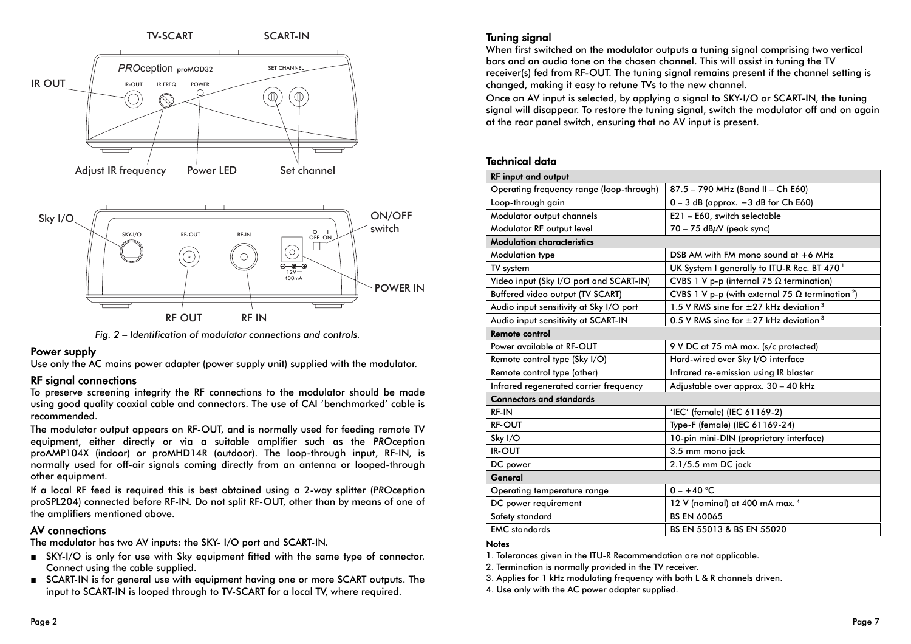

*Fig. 2 – Identification of modulator connections and controls.*

#### Power supply

Use only the AC mains power adapter (power supply unit) supplied with the modulator.

#### RF signal connections

To preserve screening integrity the RF connections to the modulator should be made using good quality coaxial cable and connectors. The use of CAI 'benchmarked' cable is recommended.

The modulator output appears on RF-OUT, and is normally used for feeding remote TV equipment, either directly or via a suitable amplifier such as the *PRO*ception proAMP104X (indoor) or proMHD14R (outdoor). The loop-through input, RF-IN, is normally used for off-air signals coming directly from an antenna or looped-through other equipment.

If a local RF feed is required this is best obtained using a 2-way splitter (*PRO*ception proSPL204) connected before RF-IN. Do not split RF-OUT, other than by means of one of the amplifiers mentioned above.

## AV connections

The modulator has two AV inputs: the SKY- I/O port and SCART-IN.

- SKY-I/O is only for use with Sky equipment fitted with the same type of connector. Connect using the cable supplied.
- SCART-IN is for general use with equipment having one or more SCART outputs. The input to SCART-IN is looped through to TV-SCART for a local TV, where required.

## Tuning signal

When first switched on the modulator outputs a tuning signal comprising two vertical bars and an audio tone on the chosen channel. This will assist in tuning the TV receiver(s) fed from RF-OUT. The tuning signal remains present if the channel setting is changed, making it easy to retune TVs to the new channel.

Once an AV input is selected, by applying a signal to SKY-I/O or SCART-IN, the tuning signal will disappear. To restore the tuning signal, switch the modulator off and on again at the rear panel switch, ensuring that no AV input is present.

## Technical data

| <b>RF input and output</b>               |                                                                    |  |  |  |
|------------------------------------------|--------------------------------------------------------------------|--|--|--|
| Operating frequency range (loop-through) | 87.5 - 790 MHz (Band II - Ch E60)                                  |  |  |  |
| Loop-through gain                        | $0 - 3$ dB (approx. $-3$ dB for Ch E60)                            |  |  |  |
| Modulator output channels                | E21 - E60, switch selectable                                       |  |  |  |
| Modulator RF output level                | $70 - 75$ dB $\mu$ V (peak sync)                                   |  |  |  |
| <b>Modulation characteristics</b>        |                                                                    |  |  |  |
| Modulation type                          | DSB AM with FM mono sound at $+6$ MHz                              |  |  |  |
| TV system                                | UK System I generally to ITU-R Rec. BT 470 <sup>1</sup>            |  |  |  |
| Video input (Sky I/O port and SCART-IN)  | CVBS 1 V p-p (internal 75 $\Omega$ termination)                    |  |  |  |
| Buffered video output (TV SCART)         | CVBS 1 V p-p (with external 75 $\Omega$ termination <sup>2</sup> ) |  |  |  |
| Audio input sensitivity at Sky I/O port  | 1.5 V RMS sine for $\pm$ 27 kHz devigtion <sup>3</sup>             |  |  |  |
| Audio input sensitivity at SCART-IN      | 0.5 V RMS sine for $\pm$ 27 kHz devigtion <sup>3</sup>             |  |  |  |
| Remote control                           |                                                                    |  |  |  |
| Power available at RF-OUT                | 9 V DC at 75 mA max. (s/c protected)                               |  |  |  |
| Remote control type (Sky I/O)            | Hard-wired over Sky I/O interface                                  |  |  |  |
| Remote control type (other)              | Infrared re-emission using IR blaster                              |  |  |  |
| Infrared regenerated carrier frequency   | Adjustable over approx. 30 - 40 kHz                                |  |  |  |
| <b>Connectors and standards</b>          |                                                                    |  |  |  |
| RF-IN                                    | 'IEC' (female) (IEC 61169-2)                                       |  |  |  |
| <b>RF-OUT</b>                            | Type-F (female) (IEC 61169-24)                                     |  |  |  |
| Sky I/O                                  | 10-pin mini-DIN (proprietary interface)                            |  |  |  |
| <b>IR-OUT</b>                            | 3.5 mm mono jack                                                   |  |  |  |
| DC power                                 | 2.1/5.5 mm DC jack                                                 |  |  |  |
| General                                  |                                                                    |  |  |  |
| Operating temperature range              | $0 - +40$ °C                                                       |  |  |  |
| DC power requirement                     | 12 V (nominal) at 400 mA max. 4                                    |  |  |  |
| Safety standard                          | <b>BS EN 60065</b>                                                 |  |  |  |
| <b>EMC</b> standards                     | BS EN 55013 & BS EN 55020                                          |  |  |  |

#### **Notes**

1. Tolerances given in the ITU-R Recommendation are not applicable.

2. Termination is normally provided in the TV receiver.

3. Applies for 1 kHz modulating frequency with both L & R channels driven.

4. Use only with the AC power adapter supplied.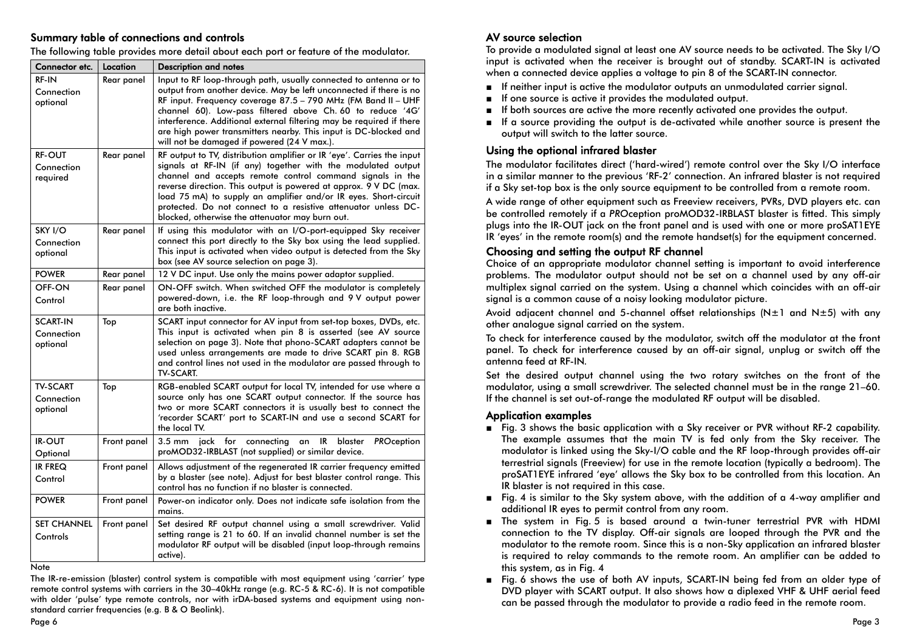### Summary table of connections and controls

|  |  | The following table provides more detail about each port or feature of the modulator. |
|--|--|---------------------------------------------------------------------------------------|
|  |  |                                                                                       |

| Connector etc.                            | Location    | <b>Description and notes</b>                                                                                                                                                                                                                                                                                                                                                                                                                                      |
|-------------------------------------------|-------------|-------------------------------------------------------------------------------------------------------------------------------------------------------------------------------------------------------------------------------------------------------------------------------------------------------------------------------------------------------------------------------------------------------------------------------------------------------------------|
| <b>RF IN</b><br>Connection<br>optional    | Rear panel  | Input to RF loop-through path, usually connected to antenna or to<br>output from another device. May be left unconnected if there is no<br>RF input. Frequency coverage 87.5 - 790 MHz (FM Band II - UHF<br>channel 60). Low-pass filtered above Ch. 60 to reduce '4G'<br>interference. Additional external filtering may be required if there<br>are high power transmitters nearby. This input is DC-blocked and<br>will not be damaged if powered (24 V max.). |
| <b>RF-OUT</b><br>Connection<br>required   | Rear panel  | RF output to TV, distribution amplifier or IR 'eye'. Carries the input<br>signals at RF-IN (if any) together with the modulated output<br>channel and accepts remote control command signals in the<br>reverse direction. This output is powered at approx. 9 V DC (max.<br>load 75 mA) to supply an amplifier and/or IR eyes. Short-circuit<br>protected. Do not connect to a resistive attenuator unless DC-<br>blocked, otherwise the attenuator may burn out. |
| SKY I/O<br>Connection<br>optional         | Rear panel  | If using this modulator with an I/O-port-equipped Sky receiver<br>connect this port directly to the Sky box using the lead supplied.<br>This input is activated when video output is detected from the Sky<br>box (see AV source selection on page 3).                                                                                                                                                                                                            |
| <b>POWER</b>                              | Rear panel  | 12 V DC input. Use only the mains power adaptor supplied.                                                                                                                                                                                                                                                                                                                                                                                                         |
| OFF-ON<br>Control                         | Rear panel  | ON-OFF switch. When switched OFF the modulator is completely<br>powered-down, i.e. the RF loop-through and 9V output power<br>are both inactive.                                                                                                                                                                                                                                                                                                                  |
| <b>SCART IN</b><br>Connection<br>optional | Top         | SCART input connector for AV input from set-top boxes, DVDs, etc.<br>This input is activated when pin 8 is asserted (see AV source<br>selection on page 3). Note that phono-SCART adapters cannot be<br>used unless arrangements are made to drive SCART pin 8. RGB<br>and control lines not used in the modulator are passed through to<br><b>TV-SCART.</b>                                                                                                      |
| <b>TV-SCART</b><br>Connection<br>optional | Top         | RGB-enabled SCART output for local TV, intended for use where a<br>source only has one SCART output connector. If the source has<br>two or more SCART connectors it is usually best to connect the<br>'recorder SCART' port to SCART-IN and use a second SCART for<br>the local TV.                                                                                                                                                                               |
| <b>IR-OUT</b><br>Optional                 | Front panel | for<br>$3.5 \text{ mm}$<br>jack<br>connecting<br>blaster<br><b>PROception</b><br>IR<br>an<br>proMOD32-IRBLAST (not supplied) or similar device.                                                                                                                                                                                                                                                                                                                   |
| <b>IR FREQ</b><br>Control                 | Front panel | Allows adjustment of the regenerated IR carrier frequency emitted<br>by a blaster (see note). Adjust for best blaster control range. This<br>control has no function if no blaster is connected.                                                                                                                                                                                                                                                                  |
| <b>POWER</b>                              | Front panel | Power-on indicator only. Does not indicate safe isolation from the<br>mains.                                                                                                                                                                                                                                                                                                                                                                                      |
| <b>SET CHANNEL</b><br>Controls            | Front panel | Set desired RF output channel using a small screwdriver. Valid<br>setting range is 21 to 60. If an invalid channel number is set the<br>modulator RF output will be disabled (input loop-through remains<br>active).                                                                                                                                                                                                                                              |

**Note** 

The IR-re-emission (blaster) control system is compatible with most equipment using 'carrier' type remote control systems with carriers in the 30–40kHz range (e.g. RC-5 & RC-6). It is not compatible with older 'pulse' type remote controls, nor with irDA-based systems and equipment using nonstandard carrier frequencies (e.g. B & O Beolink).

## AV source selection

To provide a modulated signal at least one AV source needs to be activated. The Sky I/O input is activated when the receiver is brought out of standby. SCART-IN is activated when a connected device applies a voltage to pin 8 of the SCART-IN connector.

- If neither input is active the modulator outputs an unmodulated carrier signal.
- If one source is active it provides the modulated output.
- ■If both sources are active the more recently activated one provides the output.
- If a source providing the output is de-activated while another source is present the output will switch to the latter source.

### Using the optional infrared blaster

The modulator facilitates direct ('hard-wired') remote control over the Sky I/O interface in a similar manner to the previous 'RF-2' connection. An infrared blaster is not required if a Sky set-top box is the only source equipment to be controlled from a remote room.

A wide range of other equipment such as Freeview receivers, PVRs, DVD players etc. can be controlled remotely if a *PRO*ception proMOD32-IRBLAST blaster is fitted. This simply plugs into the IR-OUT jack on the front panel and is used with one or more proSAT1EYE IR 'eyes' in the remote room(s) and the remote handset(s) for the equipment concerned.

## Choosing and setting the output RF channel

Choice of an appropriate modulator channel setting is important to avoid interference problems. The modulator output should not be set on a channel used by any off-air multiplex signal carried on the system. Using a channel which coincides with an off-air signal is a common cause of a noisy looking modulator picture.

Avoid adjacent channel and 5-channel offset relationships ( $N±1$  and  $N±5$ ) with any other analogue signal carried on the system.

To check for interference caused by the modulator, switch off the modulator at the front panel. To check for interference caused by an off-air signal, unplug or switch off the antenna feed at RF-IN.

Set the desired output channel using the two rotary switches on the front of the modulator, using a small screwdriver. The selected channel must be in the range 21–60. If the channel is set out-of-range the modulated RF output will be disabled.

#### Application examples

- Fig. 3 shows the basic application with a Sky receiver or PVR without RF-2 capability. The example assumes that the main TV is fed only from the Sky receiver. The modulator is linked using the Sky-I/O cable and the RF loop-through provides off-air terrestrial signals (Freeview) for use in the remote location (typically a bedroom). The proSAT1EYE infrared 'eye' allows the Sky box to be controlled from this location. An IR blaster is not required in this case.
- Fig. 4 is similar to the Sky system above, with the addition of a 4-way amplifier and additional IR eyes to permit control from any room.
- The system in Fig. 5 is based around a twin-tuner terrestrial PVR with HDMI connection to the TV display. Off-air signals are looped through the PVR and the modulator to the remote room. Since this is a non-Sky application an infrared blaster is required to relay commands to the remote room. An amplifier can be added to this system, as in Fig. 4
- Fig. 6 shows the use of both AV inputs, SCART-IN being fed from an older type of DVD player with SCART output. It also shows how a diplexed VHF & UHF aerial feed can be passed through the modulator to provide a radio feed in the remote room.